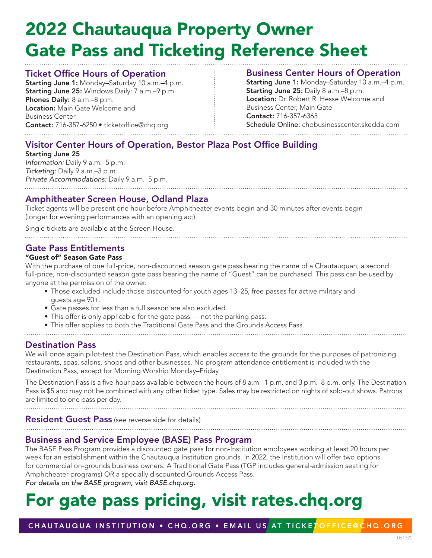# 2022 Chautauqua Property Owner Gate Pass and Ticketing Reference Sheet

### Ticket Office Hours of Operation

Starting June 1: Monday–Saturday 10 a.m.–4 p.m. Starting June 25: Windows Daily: 7 a.m.–9 p.m. Phones Daily: 8 a.m.–8 p.m. Location: Main Gate Welcome and Business Center Contact: 716-357-6250 · ticketoffice@chq.org

## Business Center Hours of Operation

Starting June 1: Monday-Saturday 10 a.m.-4 p.m. Starting June 25: Daily 8 a.m.–8 p.m. Location: Dr. Robert R. Hesse Welcome and Business Center, Main Gate Contact: 716-357-6365 Schedule Online: chqbusinesscenter.skedda.com

## Visitor Center Hours of Operation, Bestor Plaza Post Office Building

Starting June 25 Information: Daily 9 a.m.–5 p.m. Ticketing: Daily 9 a.m.–3 p.m. Private Accommodations: Daily 9 a.m.–5 p.m.

### Amphitheater Screen House, Odland Plaza

Ticket agents will be present one hour before Amphitheater events begin and 30 minutes after events begin (longer for evening performances with an opening act).

Single tickets are available at the Screen House.

## Gate Pass Entitlements

#### "Guest of" Season Gate Pass

With the purchase of one full-price, non-discounted season gate pass bearing the name of a Chautauquan, a second full-price, non-discounted season gate pass bearing the name of "Guest" can be purchased. This pass can be used by anyone at the permission of the owner.

- Those excluded include those discounted for youth ages 13–25, free passes for active military and guests age 90+.
- Gate passes for less than a full season are also excluded.
- This offer is only applicable for the gate pass not the parking pass.
- This offer applies to both the Traditional Gate Pass and the Grounds Access Pass.
- 

#### Destination Pass

We will once again pilot-test the Destination Pass, which enables access to the grounds for the purposes of patronizing restaurants, spas, salons, shops and other businesses. No program attendance entitlement is included with the Destination Pass, except for Morning Worship Monday–Friday.

The Destination Pass is a five-hour pass available between the hours of 8 a.m.–1 p.m. and 3 p.m.–8 p.m. only. The Destination Pass is \$5 and may not be combined with any other ticket type. Sales may be restricted on nights of sold-out shows. Patrons are limited to one pass per day.

**Resident Guest Pass** (see reverse side for details)

## Business and Service Employee (BASE) Pass Program

The BASE Pass Program provides a discounted gate pass for non-Institution employees working at least 20 hours per week for an establishment within the Chautauqua Institution grounds. In 2022, the Institution will offer two options for commercial on-grounds business owners: A Traditional Gate Pass (TGP includes general-admission seating for Amphitheater programs) OR a specially discounted Grounds Access Pass. For details on the BASE program, visit BASE.chq.org.

# For gate pass pricing, visit rates.chq.org

CHAUTAUQUA INSTITUTION • CHQ.ORG • EMAIL US AT TICKETOFFICE@CHQ.ORG